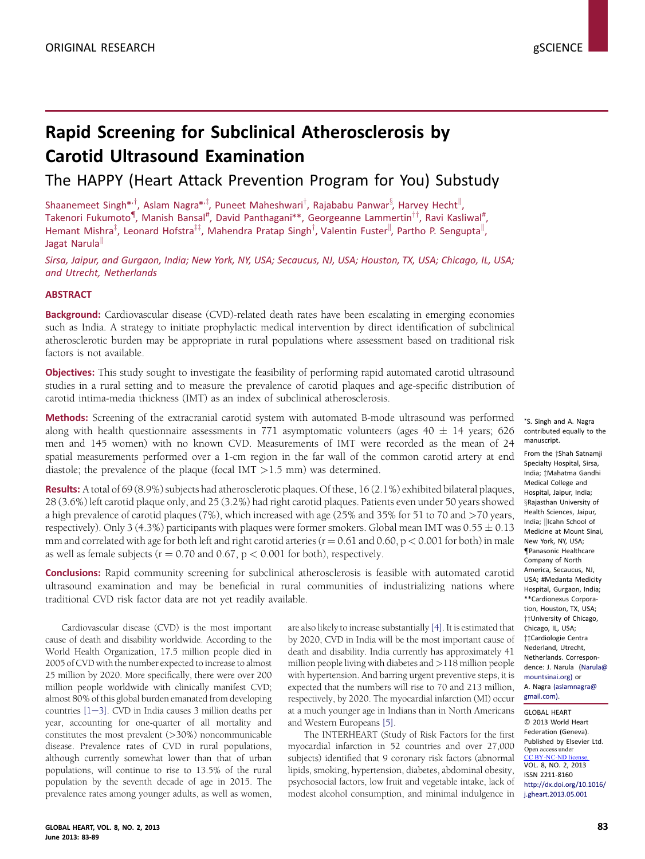# Rapid Screening for Subclinical Atherosclerosis by Carotid Ultrasound Examination

The HAPPY (Heart Attack Prevention Program for You) Substudy

Shaanemeet Singh\*<sup>,†</sup>, Aslam Nagra\*<sup>,‡</sup>, Puneet Maheshwari<sup>†</sup>, Rajababu Panwar<sup>§</sup>, Harvey Hecht<sup>||</sup>, Takenori Fukumoto<sup>¶</sup>, Manish Bansal<sup>#</sup>, David Panthagani\*\*, Georgeanne Lammertin<sup>††</sup>, Ravi Kasliwal<sup>#</sup>, Hemant Mishra<sup>T</sup>, Leonard Hofstra<sup>TT</sup>, Mahendra Pratap Singh<sup>T</sup>, Valentin Fuster<sup>II</sup>, Partho P. Sengupta<sup>II</sup>, Jagat Narula

Sirsa, Jaipur, and Gurgaon, India; New York, NY, USA; Secaucus, NJ, USA; Houston, TX, USA; Chicago, IL, USA; and Utrecht, Netherlands

## **ABSTRACT**

**Background:** Cardiovascular disease (CVD)-related death rates have been escalating in emerging economies such as India. A strategy to initiate prophylactic medical intervention by direct identification of subclinical atherosclerotic burden may be appropriate in rural populations where assessment based on traditional risk factors is not available.

**Objectives:** This study sought to investigate the feasibility of performing rapid automated carotid ultrasound studies in a rural setting and to measure the prevalence of carotid plaques and age-specific distribution of carotid intima-media thickness (IMT) as an index of subclinical atherosclerosis.

Methods: Screening of the extracranial carotid system with automated B-mode ultrasound was performed along with health questionnaire assessments in 771 asymptomatic volunteers (ages 40  $\pm$  14 years; 626 men and 145 women) with no known CVD. Measurements of IMT were recorded as the mean of 24 spatial measurements performed over a 1-cm region in the far wall of the common carotid artery at end diastole; the prevalence of the plaque (focal IMT >1.5 mm) was determined.

Results: A total of 69 (8.9%) subjects had atherosclerotic plaques. Of these, 16 (2.1%) exhibited bilateral plaques, 28 (3.6%) left carotid plaque only, and 25 (3.2%) had right carotid plaques. Patients even under 50 years showed a high prevalence of carotid plaques (7%), which increased with age (25% and 35% for 51 to 70 and >70 years, respectively). Only 3 (4.3%) participants with plaques were former smokers. Global mean IMT was  $0.55 \pm 0.13$ mm and correlated with age for both left and right carotid arteries ( $r = 0.61$  and  $0.60$ ,  $p < 0.001$  for both) in male as well as female subjects ( $r = 0.70$  and 0.67,  $p < 0.001$  for both), respectively.

Conclusions: Rapid community screening for subclinical atherosclerosis is feasible with automated carotid ultrasound examination and may be beneficial in rural communities of industrializing nations where traditional CVD risk factor data are not yet readily available.

Cardiovascular disease (CVD) is the most important cause of death and disability worldwide. According to the World Health Organization, 17.5 million people died in 2005 of CVD with the number expected to increase to almost 25 million by 2020. More specifically, there were over 200 million people worldwide with clinically manifest CVD; almost 80% of this global burden emanated from developing countries  $[1-3]$  $[1-3]$ . CVD in India causes 3 million deaths per year, accounting for one-quarter of all mortality and constitutes the most prevalent (>30%) noncommunicable disease. Prevalence rates of CVD in rural populations, although currently somewhat lower than that of urban populations, will continue to rise to 13.5% of the rural population by the seventh decade of age in 2015. The prevalence rates among younger adults, as well as women, are also likely to increase substantially [\[4\]](#page-5-0). It is estimated that by 2020, CVD in India will be the most important cause of death and disability. India currently has approximately 41 million people living with diabetes and >118 million people with hypertension. And barring urgent preventive steps, it is expected that the numbers will rise to 70 and 213 million, respectively, by 2020. The myocardial infarction (MI) occur at a much younger age in Indians than in North Americans and Western Europeans [\[5\].](#page-5-0)

The INTERHEART (Study of Risk Factors for the first myocardial infarction in 52 countries and over 27,000 subjects) identified that 9 coronary risk factors (abnormal lipids, smoking, hypertension, diabetes, abdominal obesity, psychosocial factors, low fruit and vegetable intake, lack of modest alcohol consumption, and minimal indulgence in

\*S. Singh and A. Nagra contributed equally to the manuscript.

From the <sup>+</sup>Shah Satnamii Specialty Hospital, Sirsa, India; ±Mahatma Gandhi Medical College and Hospital, Jaipur, India; [x](#page-5-0)Rajasthan University of Health Sciences, Jaipur, India; ||Icahn School of Medicine at Mount Sinai, New York, NY, USA; [{](#page-5-0)Panasonic Healthcare Company of North America, Secaucus, NJ, USA; #Medanta Medicity Hospital, Gurgaon, India; \*\*Cardionexus Corporation, Houston, TX, USA; [yy](#page-5-0)University of Chicago, Chicago, IL, USA; ##Cardiologie Centra Nederland, Utrecht, Netherlands. Correspondence: J. Narula ([Narula@](mailto:Narula@mountsinai.org) [mountsinai.org\)](mailto:Narula@mountsinai.org) or A. Nagra [\(aslamnagra@](mailto:aslamnagra@gmail.com) [gmail.com\)](mailto:aslamnagra@gmail.com).

GLOBAL HEART © 2013 World Heart Federation (Geneva). Published by Elsevier Ltd. VOL. 8, NO. 2, 2013 ISSN 2211-8160 [http://dx.doi.org/10.1016/](http://dx.doi.org/10.1016/j.gheart.2013.05.001) [j.gheart.2013.05.001](http://dx.doi.org/10.1016/j.gheart.2013.05.001) Open access u CC BY-NC-ND license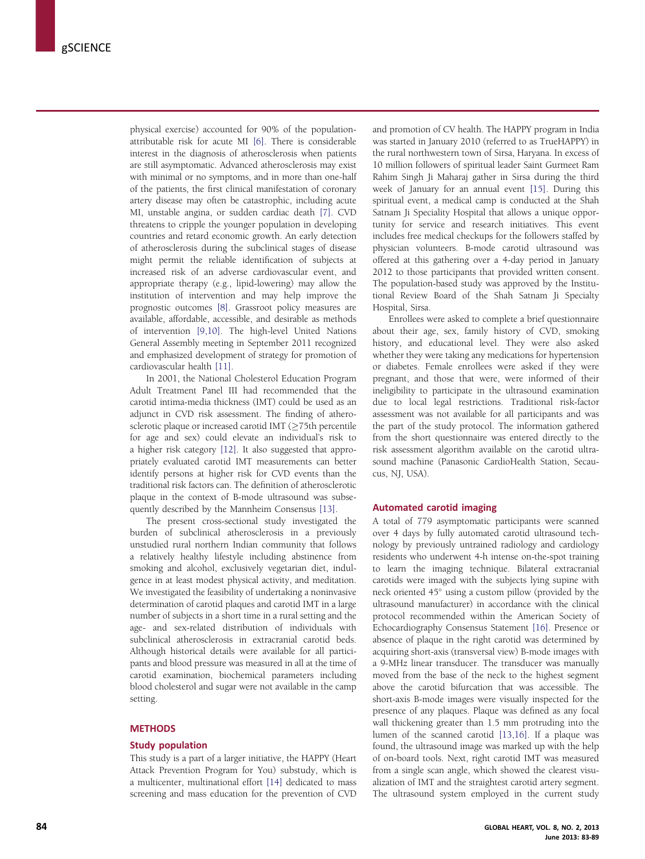physical exercise) accounted for 90% of the populationattributable risk for acute MI [\[6\]](#page-5-0). There is considerable interest in the diagnosis of atherosclerosis when patients are still asymptomatic. Advanced atherosclerosis may exist with minimal or no symptoms, and in more than one-half of the patients, the first clinical manifestation of coronary artery disease may often be catastrophic, including acute MI, unstable angina, or sudden cardiac death [\[7\].](#page-5-0) CVD threatens to cripple the younger population in developing countries and retard economic growth. An early detection of atherosclerosis during the subclinical stages of disease might permit the reliable identification of subjects at increased risk of an adverse cardiovascular event, and appropriate therapy (e.g., lipid-lowering) may allow the institution of intervention and may help improve the prognostic outcomes [\[8\].](#page-5-0) Grassroot policy measures are available, affordable, accessible, and desirable as methods of intervention [\[9,10\].](#page-5-0) The high-level United Nations General Assembly meeting in September 2011 recognized and emphasized development of strategy for promotion of cardiovascular health [\[11\]](#page-5-0).

In 2001, the National Cholesterol Education Program Adult Treatment Panel III had recommended that the carotid intima-media thickness (IMT) could be used as an adjunct in CVD risk assessment. The finding of atherosclerotic plaque or increased carotid IMT ( $\geq$ 75th percentile for age and sex) could elevate an individual's risk to a higher risk category [\[12\]](#page-5-0). It also suggested that appropriately evaluated carotid IMT measurements can better identify persons at higher risk for CVD events than the traditional risk factors can. The definition of atherosclerotic plaque in the context of B-mode ultrasound was subsequently described by the Mannheim Consensus [\[13\].](#page-5-0)

The present cross-sectional study investigated the burden of subclinical atherosclerosis in a previously unstudied rural northern Indian community that follows a relatively healthy lifestyle including abstinence from smoking and alcohol, exclusively vegetarian diet, indulgence in at least modest physical activity, and meditation. We investigated the feasibility of undertaking a noninvasive determination of carotid plaques and carotid IMT in a large number of subjects in a short time in a rural setting and the age- and sex-related distribution of individuals with subclinical atherosclerosis in extracranial carotid beds. Although historical details were available for all participants and blood pressure was measured in all at the time of carotid examination, biochemical parameters including blood cholesterol and sugar were not available in the camp setting.

## **METHODS**

#### Study population

This study is a part of a larger initiative, the HAPPY (Heart Attack Prevention Program for You) substudy, which is a multicenter, multinational effort [\[14\]](#page-5-0) dedicated to mass screening and mass education for the prevention of CVD and promotion of CV health. The HAPPY program in India was started in January 2010 (referred to as TrueHAPPY) in the rural northwestern town of Sirsa, Haryana. In excess of 10 million followers of spiritual leader Saint Gurmeet Ram Rahim Singh Ji Maharaj gather in Sirsa during the third week of January for an annual event [\[15\]](#page-5-0). During this spiritual event, a medical camp is conducted at the Shah Satnam Ji Speciality Hospital that allows a unique opportunity for service and research initiatives. This event includes free medical checkups for the followers staffed by physician volunteers. B-mode carotid ultrasound was offered at this gathering over a 4-day period in January 2012 to those participants that provided written consent. The population-based study was approved by the Institutional Review Board of the Shah Satnam Ji Specialty Hospital, Sirsa.

Enrollees were asked to complete a brief questionnaire about their age, sex, family history of CVD, smoking history, and educational level. They were also asked whether they were taking any medications for hypertension or diabetes. Female enrollees were asked if they were pregnant, and those that were, were informed of their ineligibility to participate in the ultrasound examination due to local legal restrictions. Traditional risk-factor assessment was not available for all participants and was the part of the study protocol. The information gathered from the short questionnaire was entered directly to the risk assessment algorithm available on the carotid ultrasound machine (Panasonic CardioHealth Station, Secaucus, NJ, USA).

#### Automated carotid imaging

A total of 779 asymptomatic participants were scanned over 4 days by fully automated carotid ultrasound technology by previously untrained radiology and cardiology residents who underwent 4-h intense on-the-spot training to learn the imaging technique. Bilateral extracranial carotids were imaged with the subjects lying supine with neck oriented 45° using a custom pillow (provided by the ultrasound manufacturer) in accordance with the clinical protocol recommended within the American Society of Echocardiography Consensus Statement [\[16\].](#page-5-0) Presence or absence of plaque in the right carotid was determined by acquiring short-axis (transversal view) B-mode images with a 9-MHz linear transducer. The transducer was manually moved from the base of the neck to the highest segment above the carotid bifurcation that was accessible. The short-axis B-mode images were visually inspected for the presence of any plaques. Plaque was defined as any focal wall thickening greater than 1.5 mm protruding into the lumen of the scanned carotid [\[13,16\]](#page-5-0). If a plaque was found, the ultrasound image was marked up with the help of on-board tools. Next, right carotid IMT was measured from a single scan angle, which showed the clearest visualization of IMT and the straightest carotid artery segment. The ultrasound system employed in the current study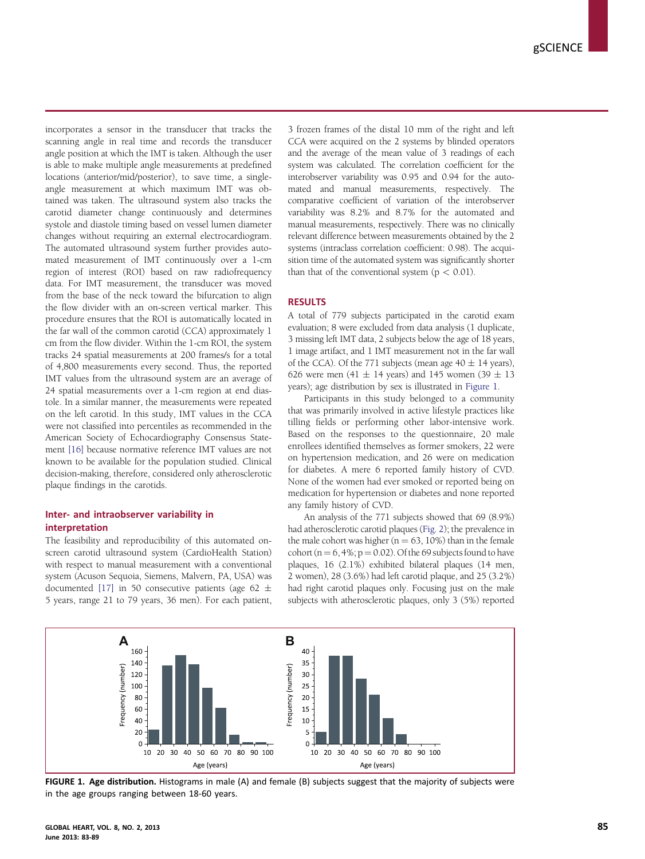incorporates a sensor in the transducer that tracks the scanning angle in real time and records the transducer angle position at which the IMT is taken. Although the user is able to make multiple angle measurements at predefined locations (anterior/mid/posterior), to save time, a singleangle measurement at which maximum IMT was obtained was taken. The ultrasound system also tracks the carotid diameter change continuously and determines systole and diastole timing based on vessel lumen diameter changes without requiring an external electrocardiogram. The automated ultrasound system further provides automated measurement of IMT continuously over a 1-cm region of interest (ROI) based on raw radiofrequency data. For IMT measurement, the transducer was moved from the base of the neck toward the bifurcation to align the flow divider with an on-screen vertical marker. This procedure ensures that the ROI is automatically located in the far wall of the common carotid (CCA) approximately 1 cm from the flow divider. Within the 1-cm ROI, the system tracks 24 spatial measurements at 200 frames/s for a total of 4,800 measurements every second. Thus, the reported IMT values from the ultrasound system are an average of 24 spatial measurements over a 1-cm region at end diastole. In a similar manner, the measurements were repeated on the left carotid. In this study, IMT values in the CCA were not classified into percentiles as recommended in the American Society of Echocardiography Consensus Statement [\[16\]](#page-5-0) because normative reference IMT values are not known to be available for the population studied. Clinical decision-making, therefore, considered only atherosclerotic plaque findings in the carotids.

## Inter- and intraobserver variability in interpretation

The feasibility and reproducibility of this automated onscreen carotid ultrasound system (CardioHealth Station) with respect to manual measurement with a conventional system (Acuson Sequoia, Siemens, Malvern, PA, USA) was documented [\[17\]](#page-5-0) in 50 consecutive patients (age 62  $\pm$ 5 years, range 21 to 79 years, 36 men). For each patient, 3 frozen frames of the distal 10 mm of the right and left CCA were acquired on the 2 systems by blinded operators and the average of the mean value of 3 readings of each system was calculated. The correlation coefficient for the interobserver variability was 0.95 and 0.94 for the automated and manual measurements, respectively. The comparative coefficient of variation of the interobserver variability was 8.2% and 8.7% for the automated and manual measurements, respectively. There was no clinically relevant difference between measurements obtained by the 2 systems (intraclass correlation coefficient: 0.98). The acquisition time of the automated system was significantly shorter than that of the conventional system  $(p < 0.01)$ .

#### **RESULTS**

A total of 779 subjects participated in the carotid exam evaluation; 8 were excluded from data analysis (1 duplicate, 3 missing left IMT data, 2 subjects below the age of 18 years, 1 image artifact, and 1 IMT measurement not in the far wall of the CCA). Of the 771 subjects (mean age  $40 \pm 14$  years), 626 were men  $(41 \pm 14)$  years) and 145 women  $(39 \pm 13)$ years); age distribution by sex is illustrated in Figure 1.

Participants in this study belonged to a community that was primarily involved in active lifestyle practices like tilling fields or performing other labor-intensive work. Based on the responses to the questionnaire, 20 male enrollees identified themselves as former smokers, 22 were on hypertension medication, and 26 were on medication for diabetes. A mere 6 reported family history of CVD. None of the women had ever smoked or reported being on medication for hypertension or diabetes and none reported any family history of CVD.

An analysis of the 771 subjects showed that 69 (8.9%) had atherosclerotic carotid plaques [\(Fig. 2\)](#page-3-0); the prevalence in the male cohort was higher ( $n = 63$ , 10%) than in the female cohort ( $n = 6, 4\%$ ;  $p = 0.02$ ). Of the 69 subjects found to have plaques, 16 (2.1%) exhibited bilateral plaques (14 men, 2 women), 28 (3.6%) had left carotid plaque, and 25 (3.2%) had right carotid plaques only. Focusing just on the male subjects with atherosclerotic plaques, only 3 (5%) reported



FIGURE 1. Age distribution. Histograms in male (A) and female (B) subjects suggest that the majority of subjects were in the age groups ranging between 18-60 years.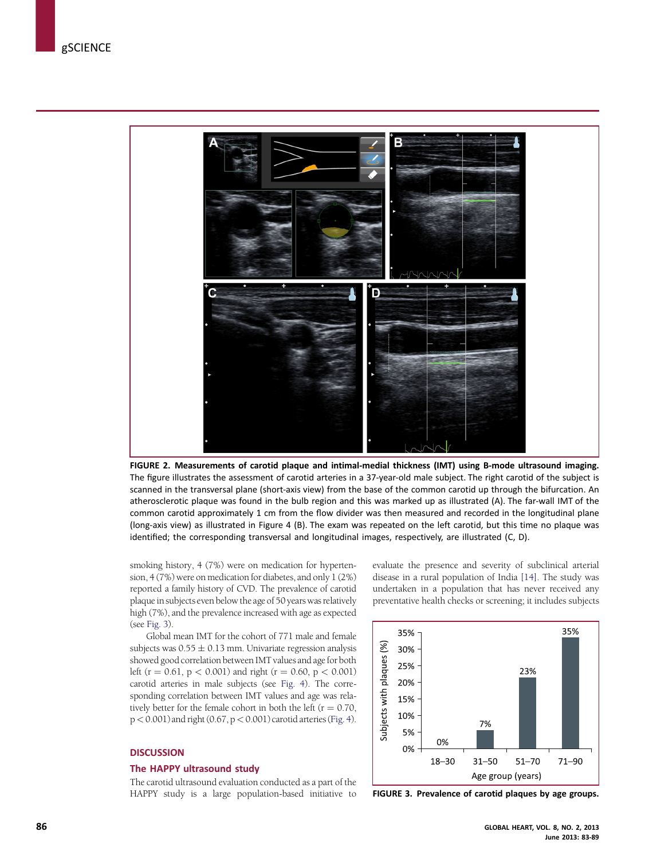<span id="page-3-0"></span>

FIGURE 2. Measurements of carotid plaque and intimal-medial thickness (IMT) using B-mode ultrasound imaging. The figure illustrates the assessment of carotid arteries in a 37-year-old male subject. The right carotid of the subject is scanned in the transversal plane (short-axis view) from the base of the common carotid up through the bifurcation. An atherosclerotic plaque was found in the bulb region and this was marked up as illustrated (A). The far-wall IMT of the common carotid approximately 1 cm from the flow divider was then measured and recorded in the longitudinal plane (long-axis view) as illustrated in Figure 4 (B). The exam was repeated on the left carotid, but this time no plaque was identified; the corresponding transversal and longitudinal images, respectively, are illustrated (C, D).

smoking history, 4 (7%) were on medication for hypertension, 4 (7%) were on medication for diabetes, and only 1 (2%) reported a family history of CVD. The prevalence of carotid plaque in subjects even below the age of 50 years was relatively high (7%), and the prevalence increased with age as expected (see Fig. 3).

Global mean IMT for the cohort of 771 male and female subjects was  $0.55 \pm 0.13$  mm. Univariate regression analysis showed good correlation between IMT values and age for both left (r = 0.61, p < 0.001) and right (r = 0.60, p < 0.001) carotid arteries in male subjects (see [Fig. 4](#page-4-0)). The corresponding correlation between IMT values and age was relatively better for the female cohort in both the left ( $r = 0.70$ ,  $p < 0.001$ ) and right  $(0.67, p < 0.001)$  carotid arteries [\(Fig. 4](#page-4-0)).

#### **DISCUSSION**

#### The HAPPY ultrasound study

The carotid ultrasound evaluation conducted as a part of the HAPPY study is a large population-based initiative to evaluate the presence and severity of subclinical arterial disease in a rural population of India [\[14\]](#page-5-0). The study was undertaken in a population that has never received any preventative health checks or screening; it includes subjects



FIGURE 3. Prevalence of carotid plaques by age groups.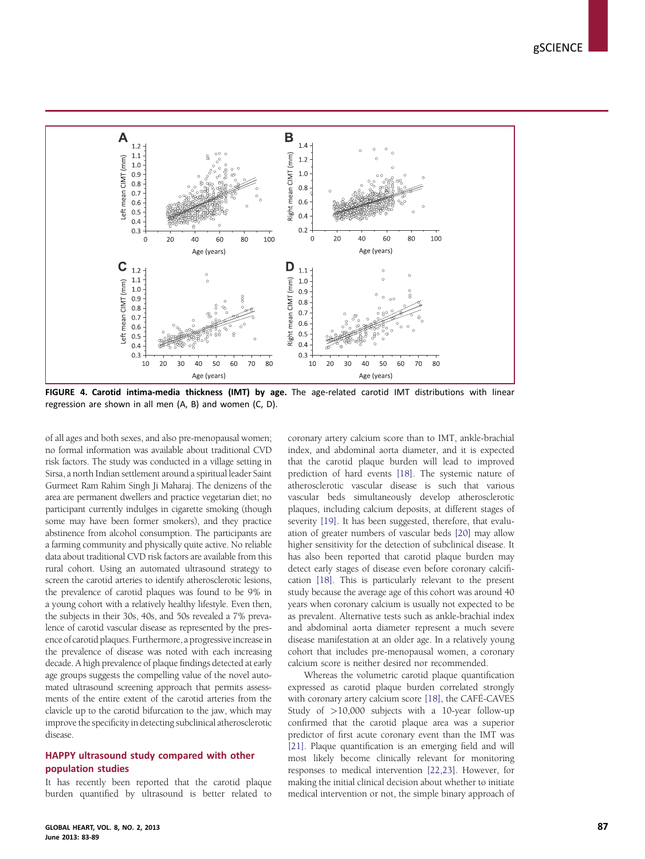<span id="page-4-0"></span>

FIGURE 4. Carotid intima-media thickness (IMT) by age. The age-related carotid IMT distributions with linear regression are shown in all men (A, B) and women (C, D).

of all ages and both sexes, and also pre-menopausal women; no formal information was available about traditional CVD risk factors. The study was conducted in a village setting in Sirsa, a north Indian settlement around a spiritual leader Saint Gurmeet Ram Rahim Singh Ji Maharaj. The denizens of the area are permanent dwellers and practice vegetarian diet; no participant currently indulges in cigarette smoking (though some may have been former smokers), and they practice abstinence from alcohol consumption. The participants are a farming community and physically quite active. No reliable data about traditional CVD risk factors are available from this rural cohort. Using an automated ultrasound strategy to screen the carotid arteries to identify atherosclerotic lesions, the prevalence of carotid plaques was found to be 9% in a young cohort with a relatively healthy lifestyle. Even then, the subjects in their 30s, 40s, and 50s revealed a 7% prevalence of carotid vascular disease as represented by the presence of carotid plaques. Furthermore, a progressive increase in the prevalence of disease was noted with each increasing decade. A high prevalence of plaque findings detected at early age groups suggests the compelling value of the novel automated ultrasound screening approach that permits assessments of the entire extent of the carotid arteries from the clavicle up to the carotid bifurcation to the jaw, which may improve the specificity in detecting subclinical atherosclerotic disease.

# HAPPY ultrasound study compared with other population studies

It has recently been reported that the carotid plaque burden quantified by ultrasound is better related to

coronary artery calcium score than to IMT, ankle-brachial index, and abdominal aorta diameter, and it is expected that the carotid plaque burden will lead to improved prediction of hard events [\[18\]](#page-5-0). The systemic nature of atherosclerotic vascular disease is such that various vascular beds simultaneously develop atherosclerotic plaques, including calcium deposits, at different stages of severity [\[19\]](#page-6-0). It has been suggested, therefore, that evaluation of greater numbers of vascular beds [\[20\]](#page-6-0) may allow higher sensitivity for the detection of subclinical disease. It has also been reported that carotid plaque burden may detect early stages of disease even before coronary calcification [\[18\]](#page-5-0). This is particularly relevant to the present study because the average age of this cohort was around 40 years when coronary calcium is usually not expected to be as prevalent. Alternative tests such as ankle-brachial index and abdominal aorta diameter represent a much severe disease manifestation at an older age. In a relatively young cohort that includes pre-menopausal women, a coronary calcium score is neither desired nor recommended.

Whereas the volumetric carotid plaque quantification expressed as carotid plaque burden correlated strongly with coronary artery calcium score [\[18\]](#page-5-0), the CAFÉ-CAVES Study of >10,000 subjects with a 10-year follow-up confirmed that the carotid plaque area was a superior predictor of first acute coronary event than the IMT was [\[21\].](#page-6-0) Plaque quantification is an emerging field and will most likely become clinically relevant for monitoring responses to medical intervention [\[22,23\].](#page-6-0) However, for making the initial clinical decision about whether to initiate medical intervention or not, the simple binary approach of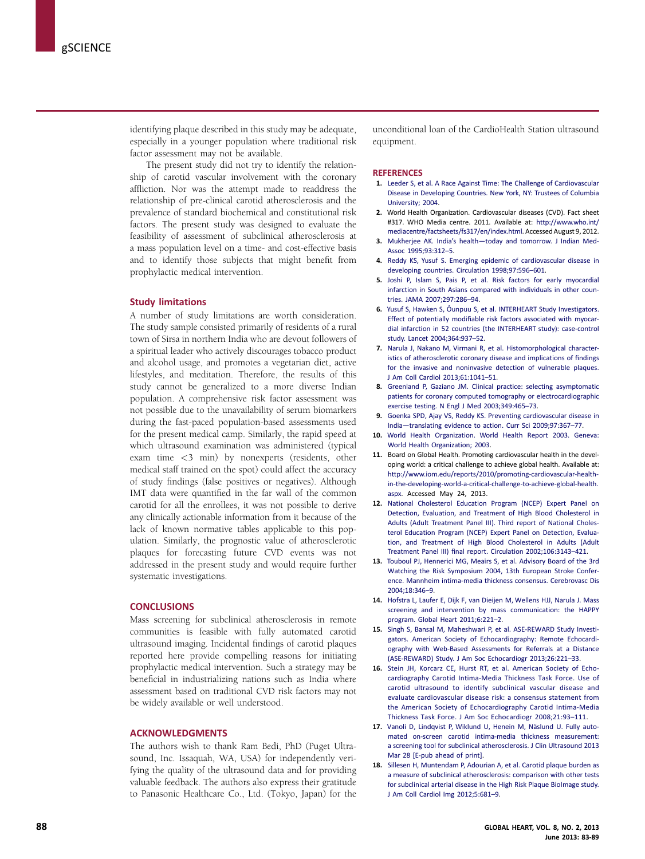<span id="page-5-0"></span>identifying plaque described in this study may be adequate, especially in a younger population where traditional risk factor assessment may not be available.

The present study did not try to identify the relationship of carotid vascular involvement with the coronary affliction. Nor was the attempt made to readdress the relationship of pre-clinical carotid atherosclerosis and the prevalence of standard biochemical and constitutional risk factors. The present study was designed to evaluate the feasibility of assessment of subclinical atherosclerosis at a mass population level on a time- and cost-effective basis and to identify those subjects that might benefit from prophylactic medical intervention.

#### Study limitations

A number of study limitations are worth consideration. The study sample consisted primarily of residents of a rural town of Sirsa in northern India who are devout followers of a spiritual leader who actively discourages tobacco product and alcohol usage, and promotes a vegetarian diet, active lifestyles, and meditation. Therefore, the results of this study cannot be generalized to a more diverse Indian population. A comprehensive risk factor assessment was not possible due to the unavailability of serum biomarkers during the fast-paced population-based assessments used for the present medical camp. Similarly, the rapid speed at which ultrasound examination was administered (typical exam time <3 min) by nonexperts (residents, other medical staff trained on the spot) could affect the accuracy of study findings (false positives or negatives). Although IMT data were quantified in the far wall of the common carotid for all the enrollees, it was not possible to derive any clinically actionable information from it because of the lack of known normative tables applicable to this population. Similarly, the prognostic value of atherosclerotic plaques for forecasting future CVD events was not addressed in the present study and would require further systematic investigations.

#### **CONCLUSIONS**

Mass screening for subclinical atherosclerosis in remote communities is feasible with fully automated carotid ultrasound imaging. Incidental findings of carotid plaques reported here provide compelling reasons for initiating prophylactic medical intervention. Such a strategy may be beneficial in industrializing nations such as India where assessment based on traditional CVD risk factors may not be widely available or well understood.

#### ACKNOWLEDGMENTS

The authors wish to thank Ram Bedi, PhD (Puget Ultrasound, Inc. Issaquah, WA, USA) for independently verifying the quality of the ultrasound data and for providing valuable feedback. The authors also express their gratitude to Panasonic Healthcare Co., Ltd. (Tokyo, Japan) for the

unconditional loan of the CardioHealth Station ultrasound equipment.

#### **REFERENCES**

- 1. [Leeder S, et al. A Race Against Time: The Challenge of Cardiovascular](http://refhub.elsevier.com/S2211-8160(13)00048-3/sref1) [Disease in Developing Countries. New York, NY: Trustees of Columbia](http://refhub.elsevier.com/S2211-8160(13)00048-3/sref1) [University; 2004](http://refhub.elsevier.com/S2211-8160(13)00048-3/sref1).
- 2. World Health Organization. Cardiovascular diseases (CVD). Fact sheet #317. WHO Media centre. 2011. Available at: [http://www.who.int/](http://www.who.int/mediacentre/factsheets/fs317/en/index.html) [mediacentre/factsheets/fs317/en/index.html](http://www.who.int/mediacentre/factsheets/fs317/en/index.html). Accessed August 9, 2012.
- 3. Mukherjee AK. India's health—[today and tomorrow. J Indian Med-](http://refhub.elsevier.com/S2211-8160(13)00048-3/sref2)[Assoc 1995;93:312](http://refhub.elsevier.com/S2211-8160(13)00048-3/sref2)–5.
- 4. [Reddy KS, Yusuf S. Emerging epidemic of cardiovascular disease in](http://refhub.elsevier.com/S2211-8160(13)00048-3/sref3) [developing countries. Circulation 1998;97:596](http://refhub.elsevier.com/S2211-8160(13)00048-3/sref3)–601.
- 5. [Joshi P, Islam S, Pais P, et al. Risk factors for early myocardial](http://refhub.elsevier.com/S2211-8160(13)00048-3/sref4) [infarction in South Asians compared with individuals in other coun](http://refhub.elsevier.com/S2211-8160(13)00048-3/sref4)[tries. JAMA 2007;297:286](http://refhub.elsevier.com/S2211-8160(13)00048-3/sref4)–94.
- 6. [Yusuf S, Hawken S, Ôunpuu S, et al. INTERHEART Study Investigators.](http://refhub.elsevier.com/S2211-8160(13)00048-3/sref5) Effect of potentially modifi[able risk factors associated with myocar](http://refhub.elsevier.com/S2211-8160(13)00048-3/sref5)[dial infarction in 52 countries \(the INTERHEART study\): case-control](http://refhub.elsevier.com/S2211-8160(13)00048-3/sref5) [study. Lancet 2004;364:937](http://refhub.elsevier.com/S2211-8160(13)00048-3/sref5)–52.
- 7. [Narula J, Nakano M, Virmani R, et al. Histomorphological character](http://refhub.elsevier.com/S2211-8160(13)00048-3/sref6)[istics of atherosclerotic coronary disease and implications of](http://refhub.elsevier.com/S2211-8160(13)00048-3/sref6) findings [for the invasive and noninvasive detection of vulnerable plaques.](http://refhub.elsevier.com/S2211-8160(13)00048-3/sref6) [J Am Coll Cardiol 2013;61:1041](http://refhub.elsevier.com/S2211-8160(13)00048-3/sref6)–51.
- 8. [Greenland P, Gaziano JM. Clinical practice: selecting asymptomatic](http://refhub.elsevier.com/S2211-8160(13)00048-3/sref7) [patients for coronary computed tomography or electrocardiographic](http://refhub.elsevier.com/S2211-8160(13)00048-3/sref7) [exercise testing. N Engl J Med 2003;349:465](http://refhub.elsevier.com/S2211-8160(13)00048-3/sref7)–73.
- 9. [Goenka SPD, Ajay VS, Reddy KS. Preventing cardiovascular disease in](http://refhub.elsevier.com/S2211-8160(13)00048-3/sref8) India—[translating evidence to action. Curr Sci 2009;97:367](http://refhub.elsevier.com/S2211-8160(13)00048-3/sref8)–77.
- 10. [World Health Organization. World Health Report 2003. Geneva:](http://refhub.elsevier.com/S2211-8160(13)00048-3/sref9) [World Health Organization; 2003](http://refhub.elsevier.com/S2211-8160(13)00048-3/sref9).
- 11. Board on Global Health. Promoting cardiovascular health in the developing world: a critical challenge to achieve global health. Available at: [http://www.iom.edu/reports/2010/promoting-cardiovascular-health](http://www.iom.edu/reports/2010/promoting-cardiovascular-health-in-the-developing-world-a-critical-challenge-to-achieve-global-health.aspx)[in-the-developing-world-a-critical-challenge-to-achieve-global-health.](http://www.iom.edu/reports/2010/promoting-cardiovascular-health-in-the-developing-world-a-critical-challenge-to-achieve-global-health.aspx) [aspx.](http://www.iom.edu/reports/2010/promoting-cardiovascular-health-in-the-developing-world-a-critical-challenge-to-achieve-global-health.aspx) Accessed May 24, 2013.
- 12. [National Cholesterol Education Program \(NCEP\) Expert Panel on](http://refhub.elsevier.com/S2211-8160(13)00048-3/sref10) [Detection, Evaluation, and Treatment of High Blood Cholesterol in](http://refhub.elsevier.com/S2211-8160(13)00048-3/sref10) [Adults \(Adult Treatment Panel III\). Third report of National Choles](http://refhub.elsevier.com/S2211-8160(13)00048-3/sref10)[terol Education Program \(NCEP\) Expert Panel on Detection, Evalua](http://refhub.elsevier.com/S2211-8160(13)00048-3/sref10)[tion, and Treatment of High Blood Cholesterol in Adults \(Adult](http://refhub.elsevier.com/S2211-8160(13)00048-3/sref10) Treatment Panel III) fi[nal report. Circulation 2002;106:3143](http://refhub.elsevier.com/S2211-8160(13)00048-3/sref10)–421.
- 13. [Touboul PJ, Hennerici MG, Meairs S, et al. Advisory Board of the 3rd](http://refhub.elsevier.com/S2211-8160(13)00048-3/sref11) [Watching the Risk Symposium 2004, 13th European Stroke Confer](http://refhub.elsevier.com/S2211-8160(13)00048-3/sref11)[ence. Mannheim intima-media thickness consensus. Cerebrovasc Dis](http://refhub.elsevier.com/S2211-8160(13)00048-3/sref11) [2004;18:346](http://refhub.elsevier.com/S2211-8160(13)00048-3/sref11)–9.
- 14. [Hofstra L, Laufer E, Dijk F, van Dieijen M, Wellens HJJ, Narula J. Mass](http://refhub.elsevier.com/S2211-8160(13)00048-3/sref12) [screening and intervention by mass communication: the HAPPY](http://refhub.elsevier.com/S2211-8160(13)00048-3/sref12) [program. Global Heart 2011;6:221](http://refhub.elsevier.com/S2211-8160(13)00048-3/sref12)–2.
- 15. [Singh S, Bansal M, Maheshwari P, et al. ASE-REWARD Study Investi](http://refhub.elsevier.com/S2211-8160(13)00048-3/sref13)[gators. American Society of Echocardiography: Remote Echocardi](http://refhub.elsevier.com/S2211-8160(13)00048-3/sref13)[ography with Web-Based Assessments for Referrals at a Distance](http://refhub.elsevier.com/S2211-8160(13)00048-3/sref13) [\(ASE-REWARD\) Study. J Am Soc Echocardiogr 2013;26:221](http://refhub.elsevier.com/S2211-8160(13)00048-3/sref13)–33.
- 16. [Stein JH, Korcarz CE, Hurst RT, et al. American Society of Echo](http://refhub.elsevier.com/S2211-8160(13)00048-3/sref14)[cardiography Carotid Intima-Media Thickness Task Force. Use of](http://refhub.elsevier.com/S2211-8160(13)00048-3/sref14) [carotid ultrasound to identify subclinical vascular disease and](http://refhub.elsevier.com/S2211-8160(13)00048-3/sref14) [evaluate cardiovascular disease risk: a consensus statement from](http://refhub.elsevier.com/S2211-8160(13)00048-3/sref14) [the American Society of Echocardiography Carotid Intima-Media](http://refhub.elsevier.com/S2211-8160(13)00048-3/sref14) [Thickness Task Force. J Am Soc Echocardiogr 2008;21:93](http://refhub.elsevier.com/S2211-8160(13)00048-3/sref14)–111.
- 17. [Vanoli D, Lindqvist P, Wiklund U, Henein M, Näslund U. Fully auto](http://refhub.elsevier.com/S2211-8160(13)00048-3/sref15)[mated on-screen carotid intima-media thickness measurement:](http://refhub.elsevier.com/S2211-8160(13)00048-3/sref15) [a screening tool for subclinical atherosclerosis. J Clin Ultrasound 2013](http://refhub.elsevier.com/S2211-8160(13)00048-3/sref15) [Mar 28 \[E-pub ahead of print\]](http://refhub.elsevier.com/S2211-8160(13)00048-3/sref15).
- 18. [Sillesen H, Muntendam P, Adourian A, et al. Carotid plaque burden as](http://refhub.elsevier.com/S2211-8160(13)00048-3/sref16) [a measure of subclinical atherosclerosis: comparison with other tests](http://refhub.elsevier.com/S2211-8160(13)00048-3/sref16) [for subclinical arterial disease in the High Risk Plaque BioImage study.](http://refhub.elsevier.com/S2211-8160(13)00048-3/sref16) [J Am Coll Cardiol Img 2012;5:681](http://refhub.elsevier.com/S2211-8160(13)00048-3/sref16)–9.